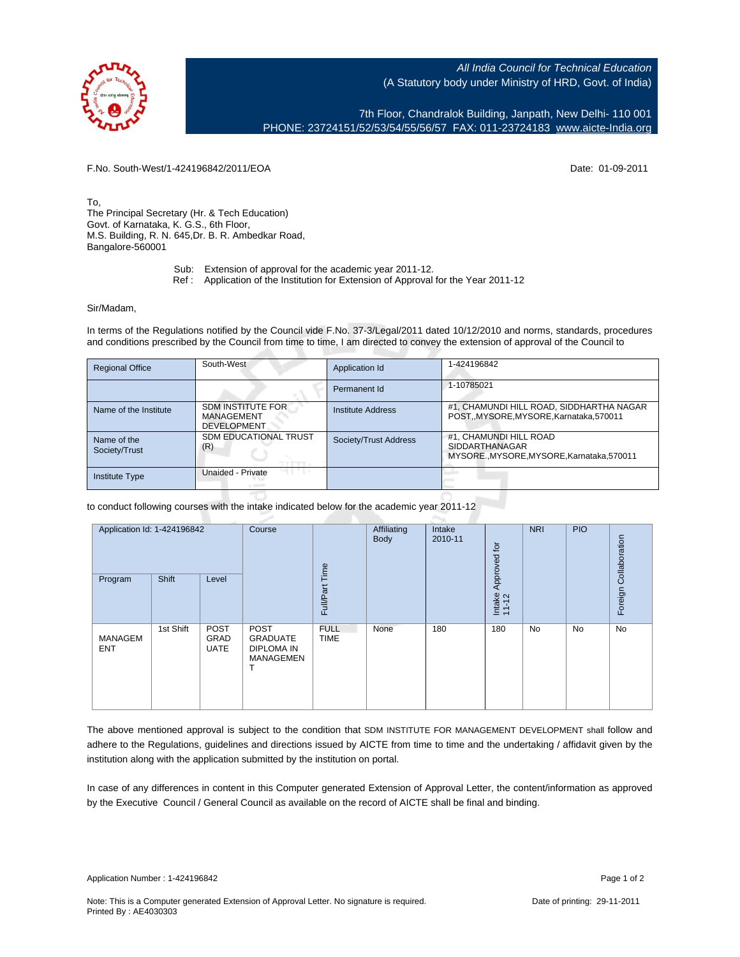All India Council for Technical Education (A Statutory body under Ministry of HRD, Govt. of India)

7th Floor, Chandralok Building, Janpath, New Delhi- 110 001 PHONE: 23724151/52/53/54/55/56/57 FAX: 011-23724183 [www.aicte-India.org](http://www.aicte-India.org)

F.No. South-West/1-424196842/2011/EOA Date: 01-09-2011

To, The Principal Secretary (Hr. & Tech Education) Govt. of Karnataka, K. G.S., 6th Floor, M.S. Building, R. N. 645,Dr. B. R. Ambedkar Road, Bangalore-560001

- Sub: Extension of approval for the academic year 2011-12.
- Ref : Application of the Institution for Extension of Approval for the Year 2011-12

## Sir/Madam,

In terms of the Regulations notified by the Council vide F.No. 37-3/Legal/2011 dated 10/12/2010 and norms, standards, procedures and conditions prescribed by the Council from time to time, I am directed to convey the extension of approval of the Council to

| <b>Regional Office</b>       | South-West                                                   | Application Id           | 1-424196842                                                                                   |
|------------------------------|--------------------------------------------------------------|--------------------------|-----------------------------------------------------------------------------------------------|
|                              |                                                              | Permanent Id             | 1-10785021                                                                                    |
| Name of the Institute        | <b>SDM INSTITUTE FOR</b><br>MANAGEMENT<br><b>DEVELOPMENT</b> | <b>Institute Address</b> | #1, CHAMUNDI HILL ROAD, SIDDHARTHA NAGAR<br>POST,,MYSORE,MYSORE,Karnataka,570011              |
| Name of the<br>Society/Trust | <b>SDM EDUCATIONAL TRUST</b><br>(R)                          | Society/Trust Address    | #1. CHAMUNDI HILL ROAD<br><b>SIDDARTHANAGAR</b><br>MYSORE., MYSORE, MYSORE, Karnataka, 570011 |
| Institute Type               | Unaided - Private                                            |                          |                                                                                               |

to conduct following courses with the intake indicated below for the academic year 2011-12

| Application Id: 1-424196842 |           | Course<br>Time              | Affiliating<br>Body                                            | Intake<br>2010-11          | Approved for | <b>NRI</b> | <b>PIO</b>      |    |    |                       |
|-----------------------------|-----------|-----------------------------|----------------------------------------------------------------|----------------------------|--------------|------------|-----------------|----|----|-----------------------|
| Program                     | Shift     | Level                       |                                                                | Full/Part                  |              |            | Intake<br>11-12 |    |    | Foreign Collaboration |
| MANAGEM<br><b>ENT</b>       | 1st Shift | POST<br>GRAD<br><b>UATE</b> | POST<br><b>GRADUATE</b><br><b>DIPLOMA IN</b><br>MANAGEMEN<br>ℸ | <b>FULL</b><br><b>TIME</b> | None         | 180        | 180             | No | No | No                    |

The above mentioned approval is subject to the condition that SDM INSTITUTE FOR MANAGEMENT DEVELOPMENT shall follow and adhere to the Regulations, guidelines and directions issued by AICTE from time to time and the undertaking / affidavit given by the institution along with the application submitted by the institution on portal.

In case of any differences in content in this Computer generated Extension of Approval Letter, the content/information as approved by the Executive Council / General Council as available on the record of AICTE shall be final and binding.